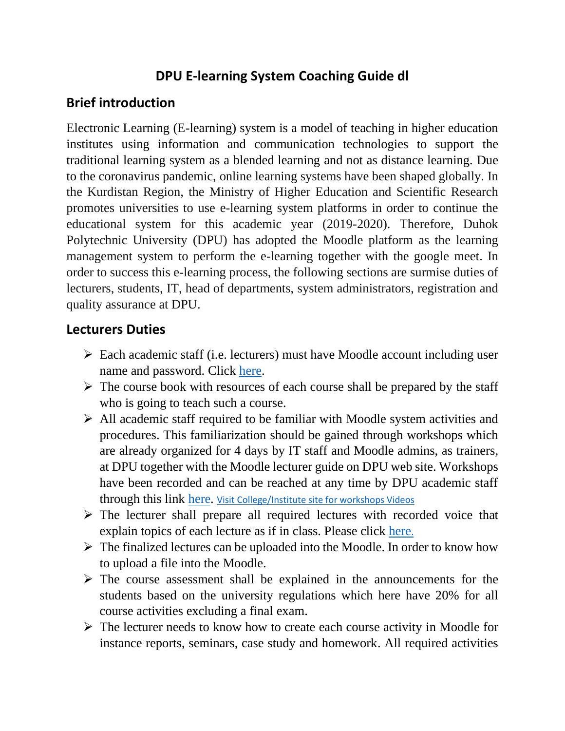### **DPU E-learning System Coaching Guide dl**

#### **Brief introduction**

Electronic Learning (E-learning) system is a model of teaching in higher education institutes using information and communication technologies to support the traditional learning system as a blended learning and not as distance learning. Due to the coronavirus pandemic, online learning systems have been shaped globally. In the Kurdistan Region, the Ministry of Higher Education and Scientific Research promotes universities to use e-learning system platforms in order to continue the educational system for this academic year (2019-2020). Therefore, Duhok Polytechnic University (DPU) has adopted the Moodle platform as the learning management system to perform the e-learning together with the google meet. In order to success this e-learning process, the following sections are surmise duties of lecturers, students, IT, head of departments, system administrators, registration and quality assurance at DPU.

#### **Lecturers Duties**

- ➢ Each academic staff (i.e. lecturers) must have Moodle account including user name and password. Click [here.](https://www.youtube.com/watch?v=8afW4hPZ-xA&list=PLz1C_s-hdejTNqRogDETgyQNk2QbBVIsF&index=10)
- $\triangleright$  The course book with resources of each course shall be prepared by the staff who is going to teach such a course.
- ➢ All academic staff required to be familiar with Moodle system activities and procedures. This familiarization should be gained through workshops which are already organized for 4 days by IT staff and Moodle admins, as trainers, at DPU together with the Moodle lecturer guide on DPU web site. Workshops have been recorded and can be reached at any time by DPU academic staff through this link [here.](https://dpu.edu.krd/page.php?id=1453&lang=en) Visit College/Institute site for workshops Videos
- $\triangleright$  The lecturer shall prepare all required lectures with recorded voice that explain topics of each lecture as if in class. Please click [here](https://www.youtube.com/watch?v=inBiqvCkNsM&list=PLz1C_s-hdejTNqRogDETgyQNk2QbBVIsF&index=8).
- $\triangleright$  The finalized lectures can be uploaded into the Moodle. In order to know how to upload a file into the Moodle.
- ➢ The course assessment shall be explained in the announcements for the students based on the university regulations which here have 20% for all course activities excluding a final exam.
- ➢ The lecturer needs to know how to create each course activity in Moodle for instance reports, seminars, case study and homework. All required activities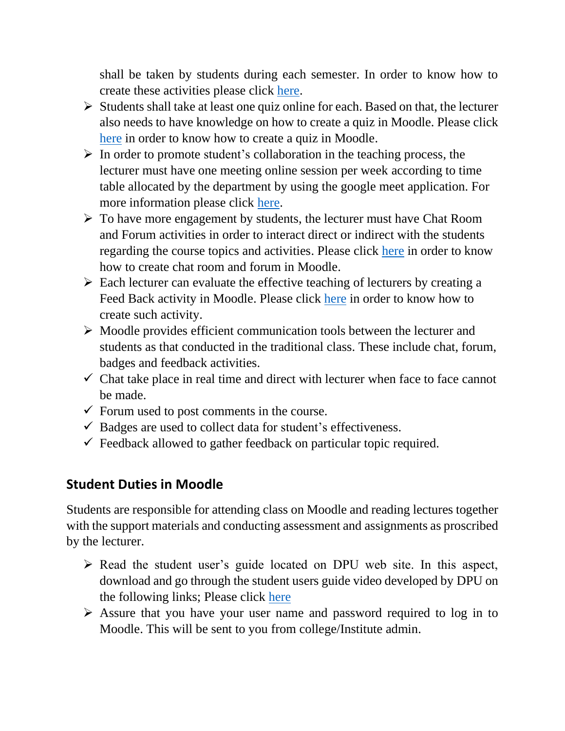shall be taken by students during each semester. In order to know how to create these activities please click [here.](https://www.youtube.com/watch?v=0rG7tWohg34&list=PLz1C_s-hdejTNqRogDETgyQNk2QbBVIsF&index=2&t=0s)

- ➢ Students shall take at least one quiz online for each. Based on that, the lecturer also needs to have knowledge on how to create a quiz in Moodle. Please click [here](https://www.youtube.com/watch?v=DiPUssHdH5Q&list=PLz1C_s-hdejTNqRogDETgyQNk2QbBVIsF&index=2) in order to know how to create a quiz in Moodle.
- $\triangleright$  In order to promote student's collaboration in the teaching process, the lecturer must have one meeting online session per week according to time table allocated by the department by using the google meet application. For more information please click [here.](https://www.youtube.com/watch?v=SGAhbt-icBw&list=PLz1C_s-hdejTNqRogDETgyQNk2QbBVIsF&index=4)
- ➢ To have more engagement by students, the lecturer must have Chat Room and Forum activities in order to interact direct or indirect with the students regarding the course topics and activities. Please click [here](https://www.youtube.com/watch?v=9EZfnp1xsY4&list=PLz1C_s-hdejTNqRogDETgyQNk2QbBVIsF&index=5) in order to know how to create chat room and forum in Moodle.
- ➢ Each lecturer can evaluate the effective teaching of lecturers by creating a Feed Back activity in Moodle. Please click [here](https://www.youtube.com/watch?v=JARw8pjLOEw&list=PLz1C_s-hdejTNqRogDETgyQNk2QbBVIsF&index=3) in order to know how to create such activity.
- ➢ Moodle provides efficient communication tools between the lecturer and students as that conducted in the traditional class. These include chat, forum, badges and feedback activities.
- $\checkmark$  Chat take place in real time and direct with lecturer when face to face cannot be made.
- $\checkmark$  Forum used to post comments in the course.
- $\checkmark$  Badges are used to collect data for student's effectiveness.
- $\checkmark$  Feedback allowed to gather feedback on particular topic required.

#### **Student Duties in Moodle**

Students are responsible for attending class on Moodle and reading lectures together with the support materials and conducting assessment and assignments as proscribed by the lecturer.

- ➢ Read the student user's guide located on DPU web site. In this aspect, download and go through the student users guide video developed by DPU on the following links; Please click [here](https://dpu.edu.krd/page.php?id=1453&lang=en)
- ➢ Assure that you have your user name and password required to log in to Moodle. This will be sent to you from college/Institute admin.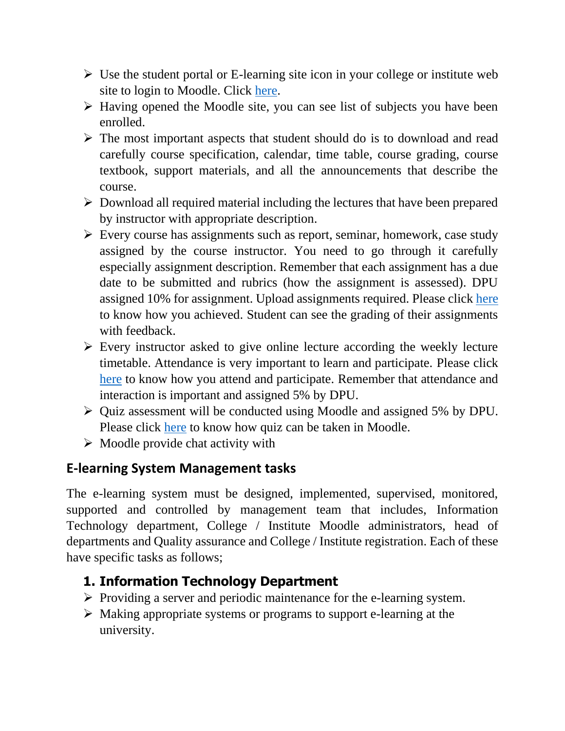- $\triangleright$  Use the student portal or E-learning site icon in your college or institute web site to login to Moodle. Click [here.](https://www.youtube.com/watch?v=8afW4hPZ-xA&list=PLz1C_s-hdejTNqRogDETgyQNk2QbBVIsF&index=10)
- ➢ Having opened the Moodle site, you can see list of subjects you have been enrolled.
- ➢ The most important aspects that student should do is to download and read carefully course specification, calendar, time table, course grading, course textbook, support materials, and all the announcements that describe the course.
- ➢ Download all required material including the lectures that have been prepared by instructor with appropriate description.
- ➢ Every course has assignments such as report, seminar, homework, case study assigned by the course instructor. You need to go through it carefully especially assignment description. Remember that each assignment has a due date to be submitted and rubrics (how the assignment is assessed). DPU assigned 10% for assignment. Upload assignments required. Please click [here](https://www.youtube.com/watch?v=xYtbmpQ-Cu8&list=PLz1C_s-hdejROeVWB7QIIDO8QUGQVl7J-&index=3) to know how you achieved. Student can see the grading of their assignments with feedback.
- ➢ Every instructor asked to give online lecture according the weekly lecture timetable. Attendance is very important to learn and participate. Please click [here](https://www.youtube.com/watch?v=xvvXvitfn9E&list=PLz1C_s-hdejROeVWB7QIIDO8QUGQVl7J-&index=4) to know how you attend and participate. Remember that attendance and interaction is important and assigned 5% by DPU.
- ➢ Quiz assessment will be conducted using Moodle and assigned 5% by DPU. Please click [here](https://www.youtube.com/watch?v=nXDK8JNxTk0&list=PLz1C_s-hdejROeVWB7QIIDO8QUGQVl7J-&index=2) to know how quiz can be taken in Moodle.
- $\triangleright$  Moodle provide chat activity with

## **E-learning System Management tasks**

The e-learning system must be designed, implemented, supervised, monitored, supported and controlled by management team that includes, Information Technology department, College / Institute Moodle administrators, head of departments and Quality assurance and College / Institute registration. Each of these have specific tasks as follows;

### **1. Information Technology Department**

- ➢ Providing a server and periodic maintenance for the e-learning system.
- ➢ Making appropriate systems or programs to support e-learning at the university.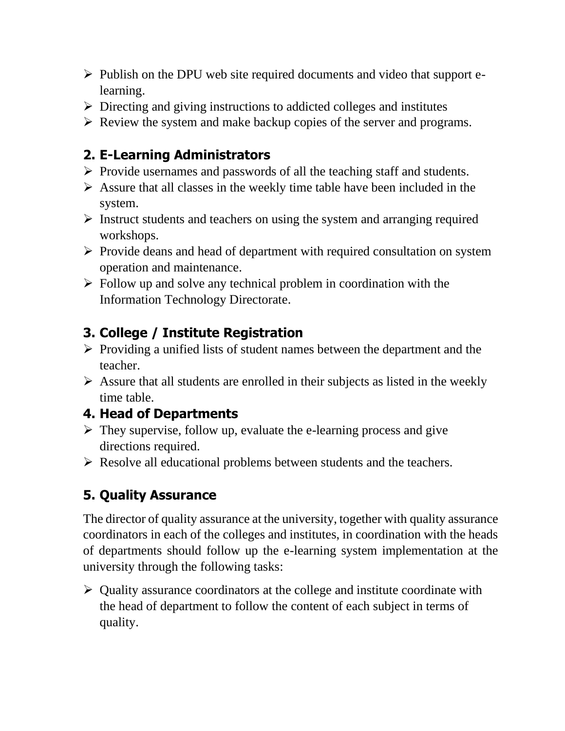- ➢ Publish on the DPU web site required documents and video that support elearning.
- ➢ Directing and giving instructions to addicted colleges and institutes
- ➢ Review the system and make backup copies of the server and programs.

## **2. E-Learning Administrators**

- ➢ Provide usernames and passwords of all the teaching staff and students.
- ➢ Assure that all classes in the weekly time table have been included in the system.
- $\triangleright$  Instruct students and teachers on using the system and arranging required workshops.
- ➢ Provide deans and head of department with required consultation on system operation and maintenance.
- ➢ Follow up and solve any technical problem in coordination with the Information Technology Directorate.

# **3. College / Institute Registration**

- ➢ Providing a unified lists of student names between the department and the teacher.
- $\triangleright$  Assure that all students are enrolled in their subjects as listed in the weekly time table.

## **4. Head of Departments**

- $\triangleright$  They supervise, follow up, evaluate the e-learning process and give directions required.
- ➢ Resolve all educational problems between students and the teachers.

# **5. Quality Assurance**

The director of quality assurance at the university, together with quality assurance coordinators in each of the colleges and institutes, in coordination with the heads of departments should follow up the e-learning system implementation at the university through the following tasks:

➢ Quality assurance coordinators at the college and institute coordinate with the head of department to follow the content of each subject in terms of quality.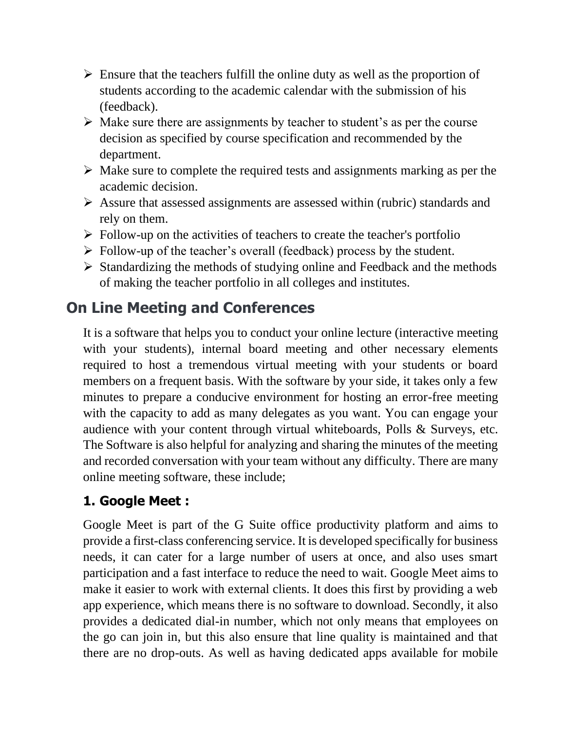- $\triangleright$  Ensure that the teachers fulfill the online duty as well as the proportion of students according to the academic calendar with the submission of his (feedback).
- ➢ Make sure there are assignments by teacher to student's as per the course decision as specified by course specification and recommended by the department.
- ➢ Make sure to complete the required tests and assignments marking as per the academic decision.
- ➢ Assure that assessed assignments are assessed within (rubric) standards and rely on them.
- $\triangleright$  Follow-up on the activities of teachers to create the teacher's portfolio
- ➢ Follow-up of the teacher's overall (feedback) process by the student.
- ➢ Standardizing the methods of studying online and Feedback and the methods of making the teacher portfolio in all colleges and institutes.

# **On Line Meeting and Conferences**

It is a software that helps you to conduct your online lecture (interactive meeting with your students), internal board meeting and other necessary elements required to host a tremendous virtual meeting with your students or board members on a frequent basis. With the software by your side, it takes only a few minutes to prepare a conducive environment for hosting an error-free meeting with the capacity to add as many delegates as you want. You can engage your audience with your content through virtual whiteboards, Polls & Surveys, etc. The Software is also helpful for analyzing and sharing the minutes of the meeting and recorded conversation with your team without any difficulty. There are many online meeting software, these include;

## **1. Google Meet :**

Google Meet is part of the G Suite office productivity platform and aims to provide a first-class conferencing service. It is developed specifically for business needs, it can cater for a large number of users at once, and also uses smart participation and a fast interface to reduce the need to wait. Google Meet aims to make it easier to work with external clients. It does this first by providing a web app experience, which means there is no software to download. Secondly, it also provides a dedicated dial-in number, which not only means that employees on the go can join in, but this also ensure that line quality is maintained and that there are no drop-outs. As well as having dedicated apps available for mobile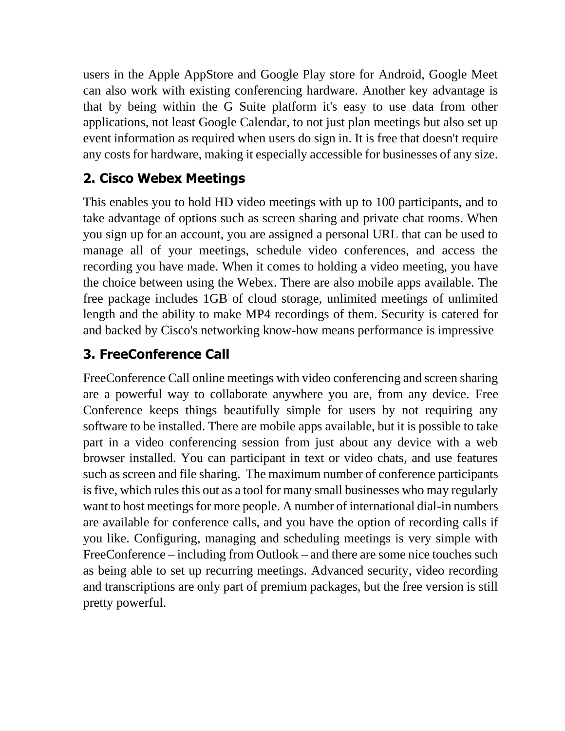users in the Apple AppStore and Google Play store for Android, Google Meet can also work with existing conferencing hardware. Another key advantage is that by being within the G Suite platform it's easy to use data from other applications, not least Google Calendar, to not just plan meetings but also set up event information as required when users do sign in. It is free that doesn't require any costs for hardware, making it especially accessible for businesses of any size.

## **2. Cisco Webex Meetings**

This enables you to hold HD video meetings with up to 100 participants, and to take advantage of options such as screen sharing and private chat rooms. When you sign up for an account, you are assigned a personal URL that can be used to manage all of your meetings, schedule video conferences, and access the recording you have made. When it comes to holding a video meeting, you have the choice between using the Webex. There are also mobile apps available. The free package includes 1GB of cloud storage, unlimited meetings of unlimited length and the ability to make MP4 recordings of them. Security is catered for and backed by Cisco's networking know-how means performance is impressive

# **3. FreeConference Call**

FreeConference Call online meetings with video conferencing and screen sharing are a powerful way to collaborate anywhere you are, from any device. Free Conference keeps things beautifully simple for users by not requiring any software to be installed. There are mobile apps available, but it is possible to take part in a video conferencing session from just about any device with a web browser installed. You can participant in text or video chats, and use features such as screen and file sharing. The maximum number of conference participants is five, which rules this out as a tool for many small businesses who may regularly want to host meetings for more people. A number of international dial-in numbers are available for conference calls, and you have the option of recording calls if you like. Configuring, managing and scheduling meetings is very simple with FreeConference – including from Outlook – and there are some nice touches such as being able to set up recurring meetings. Advanced security, video recording and transcriptions are only part of premium packages, but the free version is still pretty powerful.